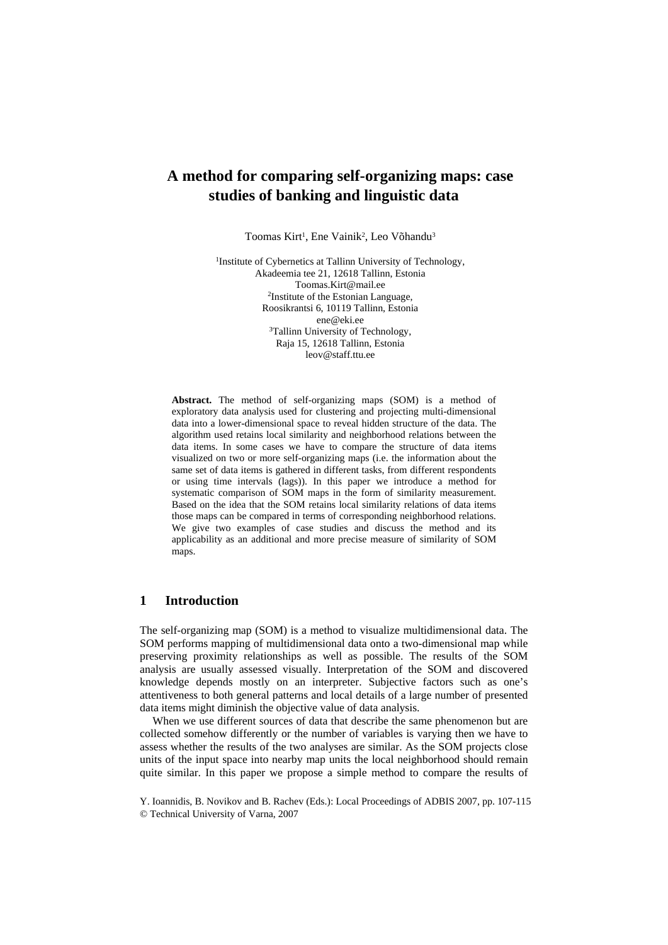# **A method for comparing self-organizing maps: case studies of banking and linguistic data**

Toomas Kirt<sup>1</sup>, Ene Vainik<sup>2</sup>, Leo Võhandu<sup>3</sup>

1Institute of Cybernetics at Tallinn University of Technology, Akadeemia tee 21, 12618 Tallinn, Estonia Toomas.Kirt@mail.ee<br><sup>2</sup>Institute of the Estonian Language. Roosikrantsi 6, 10119 Tallinn, Estonia ene@eki.ee<br><sup>3</sup>Tallinn University of Technology, Raja 15, 12618 Tallinn, Estonia leov@staff.ttu.ee

**Abstract.** The method of self-organizing maps (SOM) is a method of exploratory data analysis used for clustering and projecting multi-dimensional data into a lower-dimensional space to reveal hidden structure of the data. The algorithm used retains local similarity and neighborhood relations between the data items. In some cases we have to compare the structure of data items visualized on two or more self-organizing maps (i.e. the information about the same set of data items is gathered in different tasks, from different respondents or using time intervals (lags)). In this paper we introduce a method for systematic comparison of SOM maps in the form of similarity measurement. Based on the idea that the SOM retains local similarity relations of data items those maps can be compared in terms of corresponding neighborhood relations. We give two examples of case studies and discuss the method and its applicability as an additional and more precise measure of similarity of SOM maps.

# **1 Introduction**

The self-organizing map (SOM) is a method to visualize multidimensional data. The SOM performs mapping of multidimensional data onto a two-dimensional map while preserving proximity relationships as well as possible. The results of the SOM analysis are usually assessed visually. Interpretation of the SOM and discovered knowledge depends mostly on an interpreter. Subjective factors such as one's attentiveness to both general patterns and local details of a large number of presented data items might diminish the objective value of data analysis.

When we use different sources of data that describe the same phenomenon but are collected somehow differently or the number of variables is varying then we have to assess whether the results of the two analyses are similar. As the SOM projects close units of the input space into nearby map units the local neighborhood should remain quite similar. In this paper we propose a simple method to compare the results of

Y. Ioannidis, B. Novikov and B. Rachev (Eds.): Local Proceedings of ADBIS 2007, pp. 107-115 © Technical University of Varna, 2007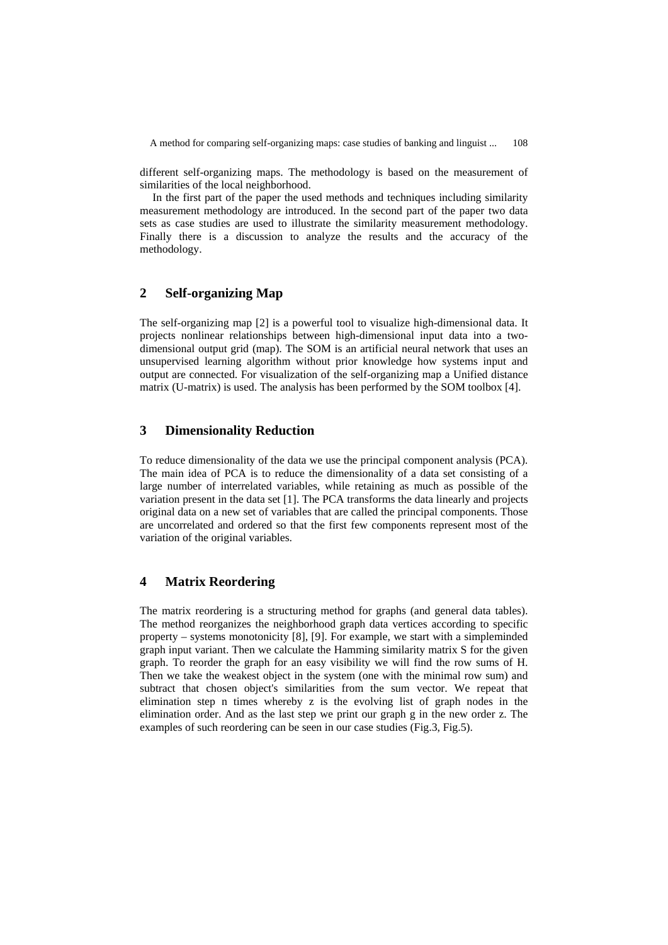A method for comparing self-organizing maps: case studies of banking and linguist ... 108

different self-organizing maps. The methodology is based on the measurement of similarities of the local neighborhood.

In the first part of the paper the used methods and techniques including similarity measurement methodology are introduced. In the second part of the paper two data sets as case studies are used to illustrate the similarity measurement methodology. Finally there is a discussion to analyze the results and the accuracy of the methodology.

# **2 Self-organizing Map**

The self-organizing map [2] is a powerful tool to visualize high-dimensional data. It projects nonlinear relationships between high-dimensional input data into a twodimensional output grid (map). The SOM is an artificial neural network that uses an unsupervised learning algorithm without prior knowledge how systems input and output are connected. For visualization of the self-organizing map a Unified distance matrix (U-matrix) is used. The analysis has been performed by the SOM toolbox [4].

# **3 Dimensionality Reduction**

To reduce dimensionality of the data we use the principal component analysis (PCA). The main idea of PCA is to reduce the dimensionality of a data set consisting of a large number of interrelated variables, while retaining as much as possible of the variation present in the data set [1]. The PCA transforms the data linearly and projects original data on a new set of variables that are called the principal components. Those are uncorrelated and ordered so that the first few components represent most of the variation of the original variables.

# **4 Matrix Reordering**

The matrix reordering is a structuring method for graphs (and general data tables). The method reorganizes the neighborhood graph data vertices according to specific property – systems monotonicity [8], [9]. For example, we start with a simpleminded graph input variant. Then we calculate the Hamming similarity matrix S for the given graph. To reorder the graph for an easy visibility we will find the row sums of H. Then we take the weakest object in the system (one with the minimal row sum) and subtract that chosen object's similarities from the sum vector. We repeat that elimination step n times whereby z is the evolving list of graph nodes in the elimination order. And as the last step we print our graph g in the new order z. The examples of such reordering can be seen in our case studies (Fig.3, Fig.5).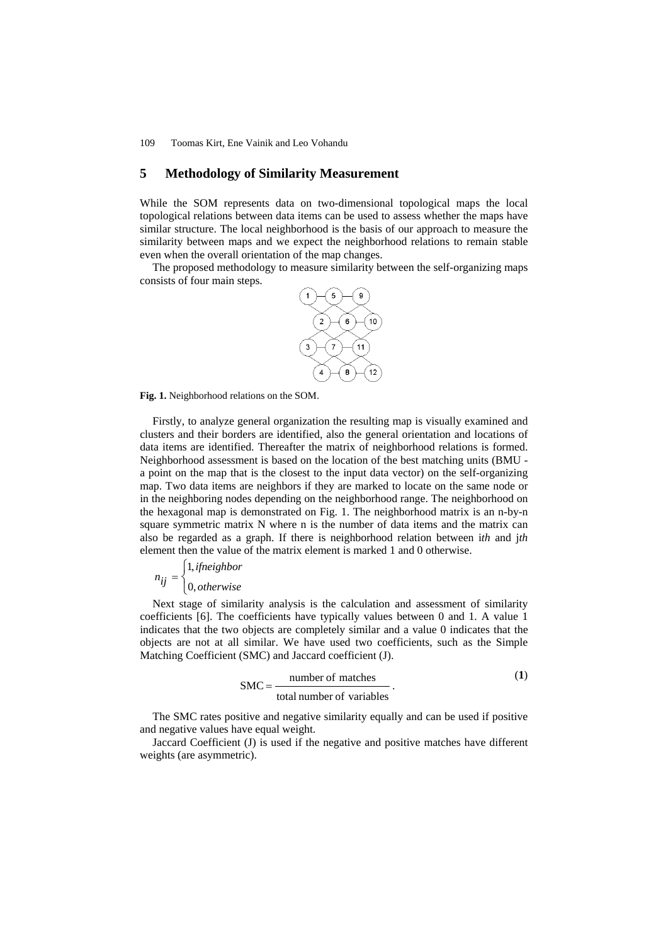# **5 Methodology of Similarity Measurement**

While the SOM represents data on two-dimensional topological maps the local topological relations between data items can be used to assess whether the maps have similar structure. The local neighborhood is the basis of our approach to measure the similarity between maps and we expect the neighborhood relations to remain stable even when the overall orientation of the map changes.

The proposed methodology to measure similarity between the self-organizing maps consists of four main steps.



**Fig. 1.** Neighborhood relations on the SOM.

Firstly, to analyze general organization the resulting map is visually examined and clusters and their borders are identified, also the general orientation and locations of data items are identified. Thereafter the matrix of neighborhood relations is formed. Neighborhood assessment is based on the location of the best matching units (BMU a point on the map that is the closest to the input data vector) on the self-organizing map. Two data items are neighbors if they are marked to locate on the same node or in the neighboring nodes depending on the neighborhood range. The neighborhood on the hexagonal map is demonstrated on Fig. 1. The neighborhood matrix is an n-by-n square symmetric matrix N where n is the number of data items and the matrix can also be regarded as a graph. If there is neighborhood relation between i*th* and j*th* element then the value of the matrix element is marked 1 and 0 otherwise.

$$
n_{ij} = \begin{cases} 1, if neighbor \\ 0, otherwise \end{cases}
$$

Next stage of similarity analysis is the calculation and assessment of similarity coefficients [6]. The coefficients have typically values between 0 and 1. A value 1 indicates that the two objects are completely similar and a value 0 indicates that the objects are not at all similar. We have used two coefficients, such as the Simple Matching Coefficient (SMC) and Jaccard coefficient (J).

$$
SMC = \frac{\text{number of matches}}{\text{total number of variables}}.
$$
 (1)

The SMC rates positive and negative similarity equally and can be used if positive and negative values have equal weight.

Jaccard Coefficient (J) is used if the negative and positive matches have different weights (are asymmetric).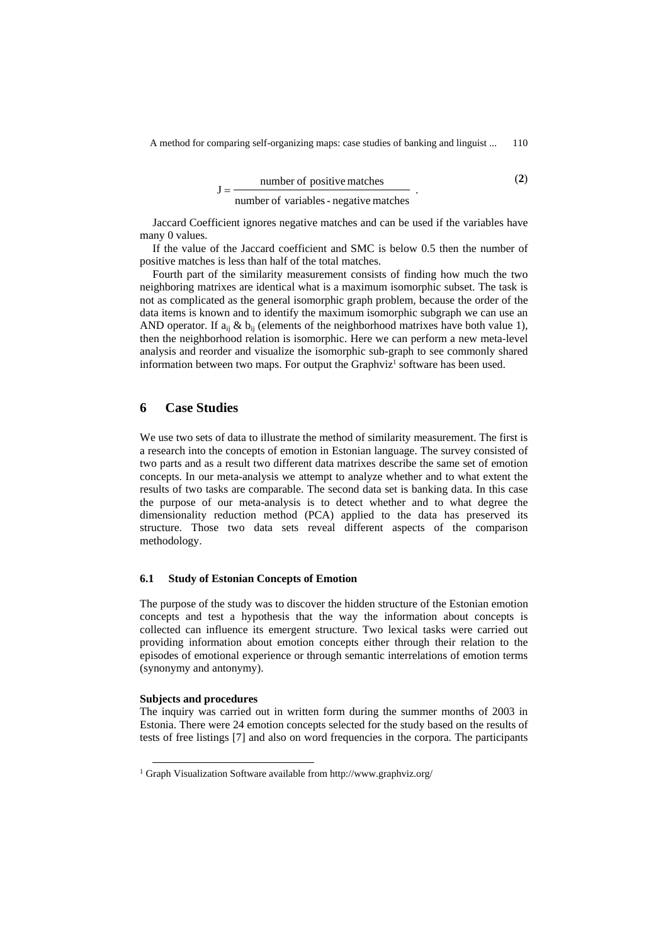$$
J = \frac{number\ of\ positive\ matches}{number\ of\ variables\ -negative\ matches} \tag{2}
$$

Jaccard Coefficient ignores negative matches and can be used if the variables have many 0 values.

If the value of the Jaccard coefficient and SMC is below 0.5 then the number of positive matches is less than half of the total matches.

Fourth part of the similarity measurement consists of finding how much the two neighboring matrixes are identical what is a maximum isomorphic subset. The task is not as complicated as the general isomorphic graph problem, because the order of the data items is known and to identify the maximum isomorphic subgraph we can use an AND operator. If  $a_{ij} \& b_{ij}$  (elements of the neighborhood matrixes have both value 1), then the neighborhood relation is isomorphic. Here we can perform a new meta-level analysis and reorder and visualize the isomorphic sub-graph to see commonly shared information between two maps. For output the Graphviz<sup>1</sup> software has been used.

# **6 Case Studies**

We use two sets of data to illustrate the method of similarity measurement. The first is a research into the concepts of emotion in Estonian language. The survey consisted of two parts and as a result two different data matrixes describe the same set of emotion concepts. In our meta-analysis we attempt to analyze whether and to what extent the results of two tasks are comparable. The second data set is banking data. In this case the purpose of our meta-analysis is to detect whether and to what degree the dimensionality reduction method (PCA) applied to the data has preserved its structure. Those two data sets reveal different aspects of the comparison methodology.

#### **6.1 Study of Estonian Concepts of Emotion**

The purpose of the study was to discover the hidden structure of the Estonian emotion concepts and test a hypothesis that the way the information about concepts is collected can influence its emergent structure. Two lexical tasks were carried out providing information about emotion concepts either through their relation to the episodes of emotional experience or through semantic interrelations of emotion terms (synonymy and antonymy).

#### **Subjects and procedures**

The inquiry was carried out in written form during the summer months of 2003 in Estonia. There were 24 emotion concepts selected for the study based on the results of tests of free listings [7] and also on word frequencies in the corpora. The participants

<sup>&</sup>lt;sup>1</sup> Graph Visualization Software available from http://www.graphviz.org/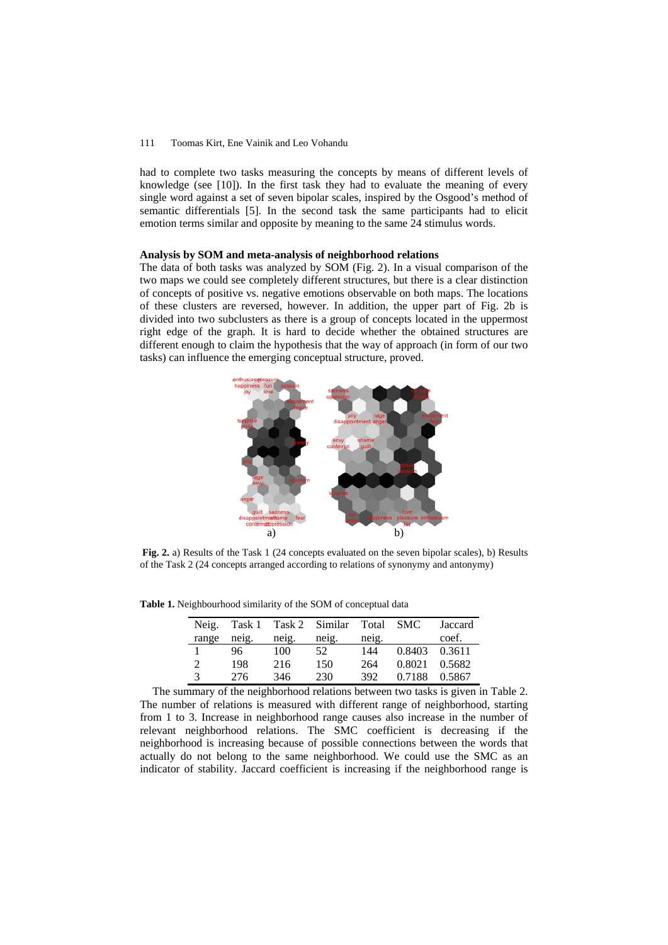had to complete two tasks measuring the concepts by means of different levels of knowledge (see [10]). In the first task they had to evaluate the meaning of every single word against a set of seven bipolar scales, inspired by the Osgood's method of semantic differentials [5]. In the second task the same participants had to elicit emotion terms similar and opposite by meaning to the same 24 stimulus words.

#### **Analysis by SOM and meta-analysis of neighborhood relations**

The data of both tasks was analyzed by SOM (Fig. 2). In a visual comparison of the two maps we could see completely different structures, but there is a clear distinction of concepts of positive vs. negative emotions observable on both maps. The locations of these clusters are reversed, however. In addition, the upper part of Fig. 2b is divided into two subclusters as there is a group of concepts located in the uppermost right edge of the graph. It is hard to decide whether the obtained structures are different enough to claim the hypothesis that the way of approach (in form of our two tasks) can influence the emerging conceptual structure, proved.



**Fig. 2.** a) Results of the Task 1 (24 concepts evaluated on the seven bipolar scales), b) Results of the Task 2 (24 concepts arranged according to relations of synonymy and antonymy)

**Table 1.** Neighbourhood similarity of the SOM of conceptual data

|       |       |       | Neig. Task 1 Task 2 Similar Total SMC |       |               | Jaccard |
|-------|-------|-------|---------------------------------------|-------|---------------|---------|
| range | neig. | neig. | neig.                                 | neig. |               | coef.   |
|       | 96    | 100   | 52                                    | 144   | 0.8403 0.3611 |         |
| 2     | 198   | 216   | 150                                   | 264   | 0.8021        | 0.5682  |
| 3     | 276   | 346   | 230                                   | 392   | 0.7188        | 0.5867  |

The summary of the neighborhood relations between two tasks is given in Table 2. The number of relations is measured with different range of neighborhood, starting from 1 to 3. Increase in neighborhood range causes also increase in the number of relevant neighborhood relations. The SMC coefficient is decreasing if the neighborhood is increasing because of possible connections between the words that actually do not belong to the same neighborhood. We could use the SMC as an indicator of stability. Jaccard coefficient is increasing if the neighborhood range is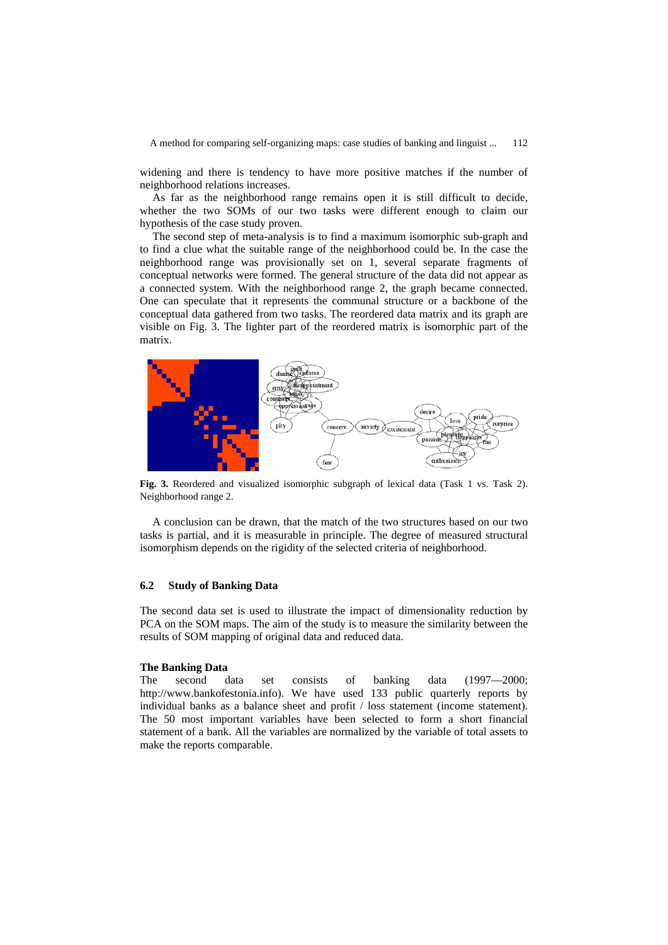A method for comparing self-organizing maps: case studies of banking and linguist ... 112

widening and there is tendency to have more positive matches if the number of neighborhood relations increases.

As far as the neighborhood range remains open it is still difficult to decide, whether the two SOMs of our two tasks were different enough to claim our hypothesis of the case study proven.

The second step of meta-analysis is to find a maximum isomorphic sub-graph and to find a clue what the suitable range of the neighborhood could be. In the case the neighborhood range was provisionally set on 1, several separate fragments of conceptual networks were formed. The general structure of the data did not appear as a connected system. With the neighborhood range 2, the graph became connected. One can speculate that it represents the communal structure or a backbone of the conceptual data gathered from two tasks. The reordered data matrix and its graph are visible on Fig. 3. The lighter part of the reordered matrix is isomorphic part of the matrix.



**Fig. 3.** Reordered and visualized isomorphic subgraph of lexical data (Task 1 vs. Task 2). Neighborhood range 2.

A conclusion can be drawn, that the match of the two structures based on our two tasks is partial, and it is measurable in principle. The degree of measured structural isomorphism depends on the rigidity of the selected criteria of neighborhood.

### **6.2 Study of Banking Data**

The second data set is used to illustrate the impact of dimensionality reduction by PCA on the SOM maps. The aim of the study is to measure the similarity between the results of SOM mapping of original data and reduced data.

### **The Banking Data**

The second data set consists of banking data (1997—2000; http://www.bankofestonia.info). We have used 133 public quarterly reports by individual banks as a balance sheet and profit / loss statement (income statement). The 50 most important variables have been selected to form a short financial statement of a bank. All the variables are normalized by the variable of total assets to make the reports comparable.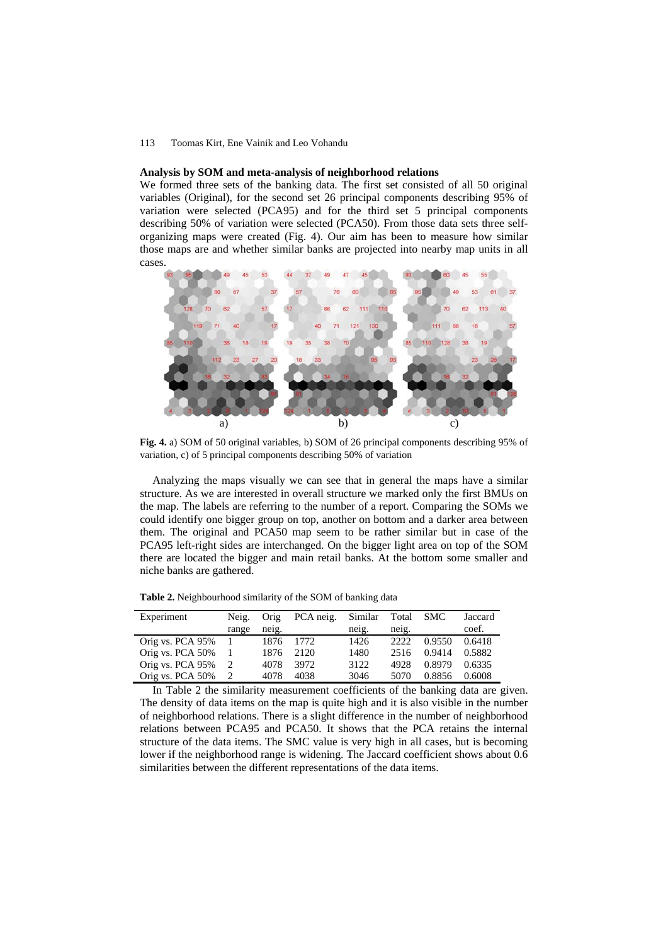#### **Analysis by SOM and meta-analysis of neighborhood relations**

We formed three sets of the banking data. The first set consisted of all 50 original variables (Original), for the second set 26 principal components describing 95% of variation were selected (PCA95) and for the third set 5 principal components describing 50% of variation were selected (PCA50). From those data sets three selforganizing maps were created (Fig. 4). Our aim has been to measure how similar those maps are and whether similar banks are projected into nearby map units in all cases.



**Fig. 4.** a) SOM of 50 original variables, b) SOM of 26 principal components describing 95% of variation, c) of 5 principal components describing 50% of variation

Analyzing the maps visually we can see that in general the maps have a similar structure. As we are interested in overall structure we marked only the first BMUs on the map. The labels are referring to the number of a report. Comparing the SOMs we could identify one bigger group on top, another on bottom and a darker area between them. The original and PCA50 map seem to be rather similar but in case of the PCA95 left-right sides are interchanged. On the bigger light area on top of the SOM there are located the bigger and main retail banks. At the bottom some smaller and niche banks are gathered.

|  |  |  |  |  |  |  |  |  |  |  | Table 2. Neighbourhood similarity of the SOM of banking data |
|--|--|--|--|--|--|--|--|--|--|--|--------------------------------------------------------------|
|  |  |  |  |  |  |  |  |  |  |  |                                                              |

| Experiment       | Neig.<br>range | Orig<br>neig. | PCA neig. | Similar<br>neig. | Total<br>neig. | <b>SMC</b> | Jaccard<br>coef. |
|------------------|----------------|---------------|-----------|------------------|----------------|------------|------------------|
| Orig vs. PCA 95% | 1              | 1876          | 1772.     | 1426             | 2222           | 0.9550     | 0.6418           |
| Orig vs. PCA 50% |                | 1876          | 2120      | 1480             | 2516           | 0.9414     | 0.5882           |
| Orig vs. PCA 95% | 2              | 4078          | 3972      | 3122             | 4928           | 0.8979     | 0.6335           |
| Orig vs. PCA 50% |                | 4078          | 4038      | 3046             | 5070           | 0.8856     | 0.6008           |

In Table 2 the similarity measurement coefficients of the banking data are given. The density of data items on the map is quite high and it is also visible in the number of neighborhood relations. There is a slight difference in the number of neighborhood relations between PCA95 and PCA50. It shows that the PCA retains the internal structure of the data items. The SMC value is very high in all cases, but is becoming lower if the neighborhood range is widening. The Jaccard coefficient shows about 0.6 similarities between the different representations of the data items.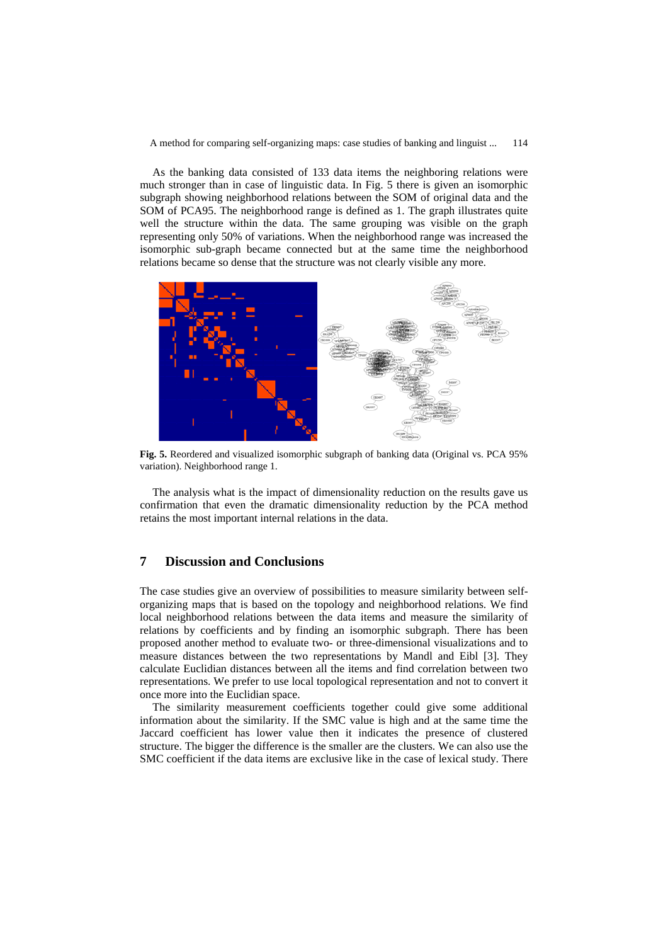A method for comparing self-organizing maps: case studies of banking and linguist ... 114

As the banking data consisted of 133 data items the neighboring relations were much stronger than in case of linguistic data. In Fig. 5 there is given an isomorphic subgraph showing neighborhood relations between the SOM of original data and the SOM of PCA95. The neighborhood range is defined as 1. The graph illustrates quite well the structure within the data. The same grouping was visible on the graph representing only 50% of variations. When the neighborhood range was increased the isomorphic sub-graph became connected but at the same time the neighborhood relations became so dense that the structure was not clearly visible any more.



**Fig. 5.** Reordered and visualized isomorphic subgraph of banking data (Original vs. PCA 95% variation). Neighborhood range 1.

The analysis what is the impact of dimensionality reduction on the results gave us confirmation that even the dramatic dimensionality reduction by the PCA method retains the most important internal relations in the data.

### **7 Discussion and Conclusions**

The case studies give an overview of possibilities to measure similarity between selforganizing maps that is based on the topology and neighborhood relations. We find local neighborhood relations between the data items and measure the similarity of relations by coefficients and by finding an isomorphic subgraph. There has been proposed another method to evaluate two- or three-dimensional visualizations and to measure distances between the two representations by Mandl and Eibl [3]. They calculate Euclidian distances between all the items and find correlation between two representations. We prefer to use local topological representation and not to convert it once more into the Euclidian space.

The similarity measurement coefficients together could give some additional information about the similarity. If the SMC value is high and at the same time the Jaccard coefficient has lower value then it indicates the presence of clustered structure. The bigger the difference is the smaller are the clusters. We can also use the SMC coefficient if the data items are exclusive like in the case of lexical study. There